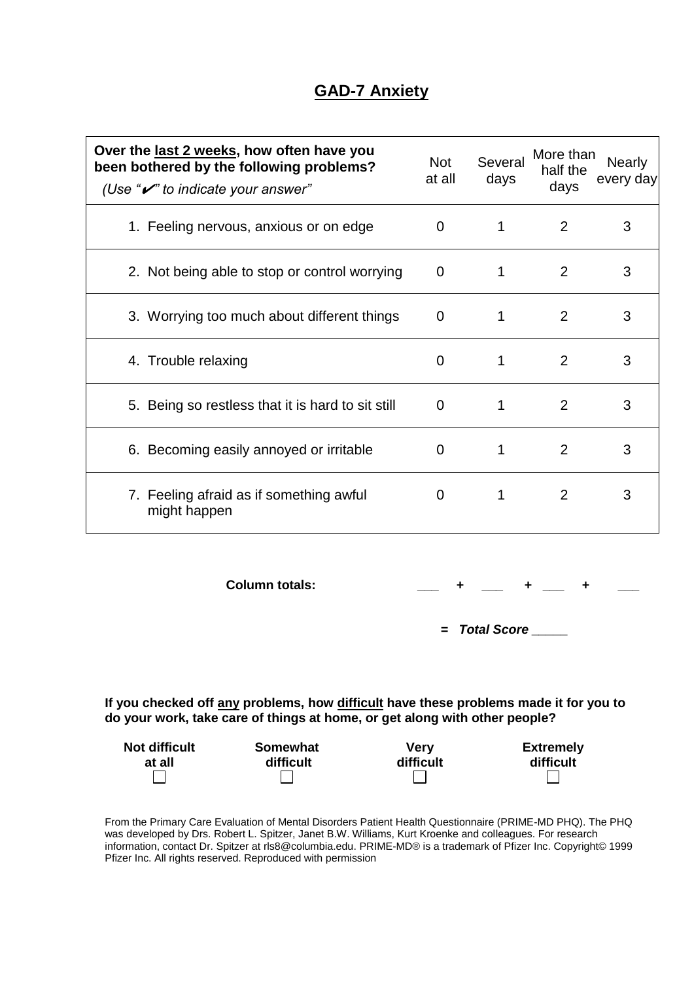## **GAD-7 Anxiety**

| Over the last 2 weeks, how often have you<br>been bothered by the following problems?<br>(Use " $\mathcal{V}$ " to indicate your answer" | <b>Not</b><br>at all | Several<br>days | More than<br>half the<br>days | <b>Nearly</b><br>every day |
|------------------------------------------------------------------------------------------------------------------------------------------|----------------------|-----------------|-------------------------------|----------------------------|
| 1. Feeling nervous, anxious or on edge                                                                                                   | 0                    |                 | 2                             | 3                          |
| 2. Not being able to stop or control worrying                                                                                            | $\Omega$             |                 | 2                             | 3                          |
| 3. Worrying too much about different things                                                                                              | $\mathbf 0$          |                 | 2                             | 3                          |
| 4. Trouble relaxing                                                                                                                      | 0                    | 1               | 2                             | 3                          |
| 5. Being so restless that it is hard to sit still                                                                                        | 0                    |                 | 2                             | 3                          |
| 6. Becoming easily annoyed or irritable                                                                                                  | 0                    |                 | 2                             | 3                          |
| 7. Feeling afraid as if something awful<br>might happen                                                                                  | 0                    |                 | 2                             | 3                          |

**Column totals:**  $\begin{array}{cccc} + & + & + & + \end{array}$ 

*=**Total Score \_\_\_\_\_* 

**If you checked off any problems, how difficult have these problems made it for you to do your work, take care of things at home, or get along with other people?**

| <b>Not difficult</b> | Somewhat  | <b>Very</b> | <b>Extremely</b> |
|----------------------|-----------|-------------|------------------|
| at all               | difficult | difficult   | difficult        |
|                      |           |             |                  |

From the Primary Care Evaluation of Mental Disorders Patient Health Questionnaire (PRIME-MD PHQ). The PHQ was developed by Drs. Robert L. Spitzer, Janet B.W. Williams, Kurt Kroenke and colleagues. For research information, contact Dr. Spitzer at rls8@columbia.edu. PRIME-MD® is a trademark of Pfizer Inc. Copyright© 1999 Pfizer Inc. All rights reserved. Reproduced with permission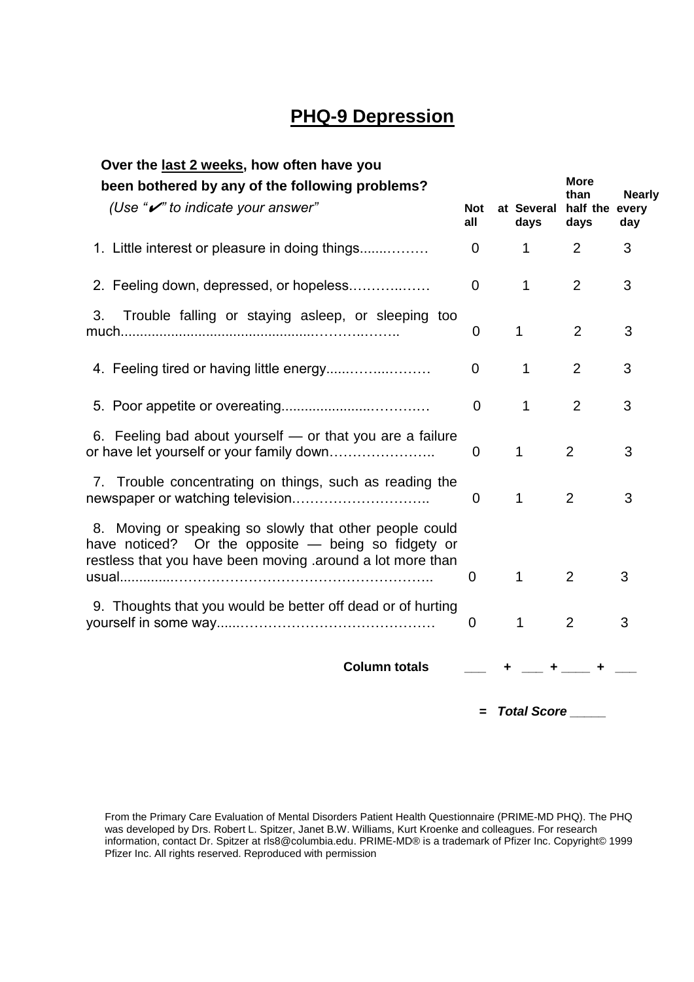# **PHQ-9 Depression**

| Over the last 2 weeks, how often have you                                                                                                                                    |                   |                    |                        |               |
|------------------------------------------------------------------------------------------------------------------------------------------------------------------------------|-------------------|--------------------|------------------------|---------------|
| been bothered by any of the following problems?                                                                                                                              |                   |                    | <b>More</b><br>than    | <b>Nearly</b> |
| (Use " $\mathcal{V}$ " to indicate your answer"                                                                                                                              | <b>Not</b><br>all | at Several<br>days | half the every<br>days | day           |
| 1. Little interest or pleasure in doing things                                                                                                                               | $\overline{0}$    | $\mathbf{1}$       | 2                      | 3             |
| 2. Feeling down, depressed, or hopeless                                                                                                                                      | $\mathbf 0$       | $\mathbf{1}$       | $\overline{2}$         | 3             |
| Trouble falling or staying asleep, or sleeping too<br>3.                                                                                                                     | 0                 | 1                  | $\overline{2}$         | 3             |
|                                                                                                                                                                              | 0                 | $\mathbf{1}$       | $\overline{2}$         | 3             |
|                                                                                                                                                                              | $\mathbf 0$       | $\mathbf{1}$       | 2                      | 3             |
| 6. Feeling bad about yourself - or that you are a failure<br>or have let yourself or your family down                                                                        | 0                 | $\mathbf{1}$       | $\overline{2}$         | 3             |
| 7. Trouble concentrating on things, such as reading the                                                                                                                      | $\Omega$          | 1                  | $\overline{2}$         | 3             |
| 8. Moving or speaking so slowly that other people could<br>have noticed? Or the opposite - being so fidgety or<br>restless that you have been moving .around a lot more than | 0                 | 1                  | 2                      | 3             |
| 9. Thoughts that you would be better off dead or of hurting                                                                                                                  | $\mathbf 0$       | $\mathbf 1$        | $\overline{2}$         | 3             |
| <b>Column totals</b>                                                                                                                                                         |                   |                    | $-$ + $-$ +            |               |

 *=**Total Score \_\_\_\_\_* 

From the Primary Care Evaluation of Mental Disorders Patient Health Questionnaire (PRIME-MD PHQ). The PHQ was developed by Drs. Robert L. Spitzer, Janet B.W. Williams, Kurt Kroenke and colleagues. For research information, contact Dr. Spitzer at rls8@columbia.edu. PRIME-MD® is a trademark of Pfizer Inc. Copyright© 1999 Pfizer Inc. All rights reserved. Reproduced with permission